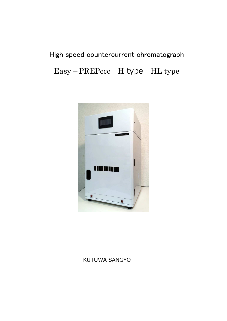# High speed countercurrent chromatograph Easy-PREPccc H type HL type



## KUTUWA SANGYO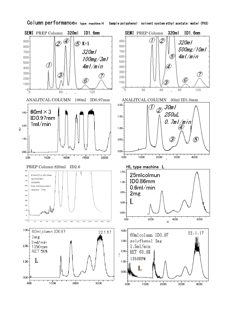

Column performanceh type machine H Sample polyphenol solvent system ethyl acetate: water (PH3)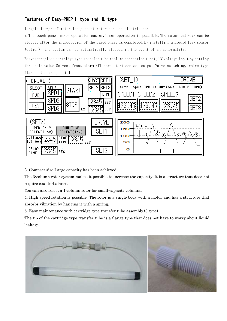### Features of Easy-PREP H type and HL type

1.Explosion-proof motor Independent rotor box and electric box

2.The touch panel makes operation easier.Timer operation is possible.The motor and PUMP can be stopped after the introduction of the fixed phase is completed.By installing a liquid leak sensor (option), the system can be automatically stopped in the event of an abnormality.

Easy-to-replace cartridge type transfer tube (column connection tube)、UV voltage input by setting threshold value Solvent front alarm (flacore start contact output)Valve switching, valve type flare, etc. are possible.U



3. Compact size Large capacity has been achieved.

The 3-column rotor system makes it possible to increase the capacity. It is a structure that does not require counterbalance.

You can also select a 1-column rotor for small-capacity columns.

4. High speed rotation is possible. The rotor is a single body with a motor and has a structure that absorbs vibration by hanging it with a spring.

5. Easy maintenance with cartridge type transfer tube assembly.(3 type)

The tip of the cartridge type transfer tube is a flange type that does not have to worry about liquid leakage.

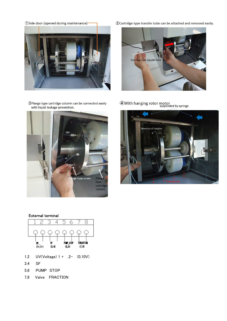(1) Side door (opened during maintenance)-



3 Flange type cartridge column can be connected easily with liquid leakage prevention.



2 Cartridge type transfer tube can be attached and removed easily.



4 With hanging rotor motor



### External terminal



- 1,2 UV(Voltage) 1 + ,2- (0,10V)
- 3.4 SF
- 5,6 PUMP STOP
- 7,8 Valve FRACTION